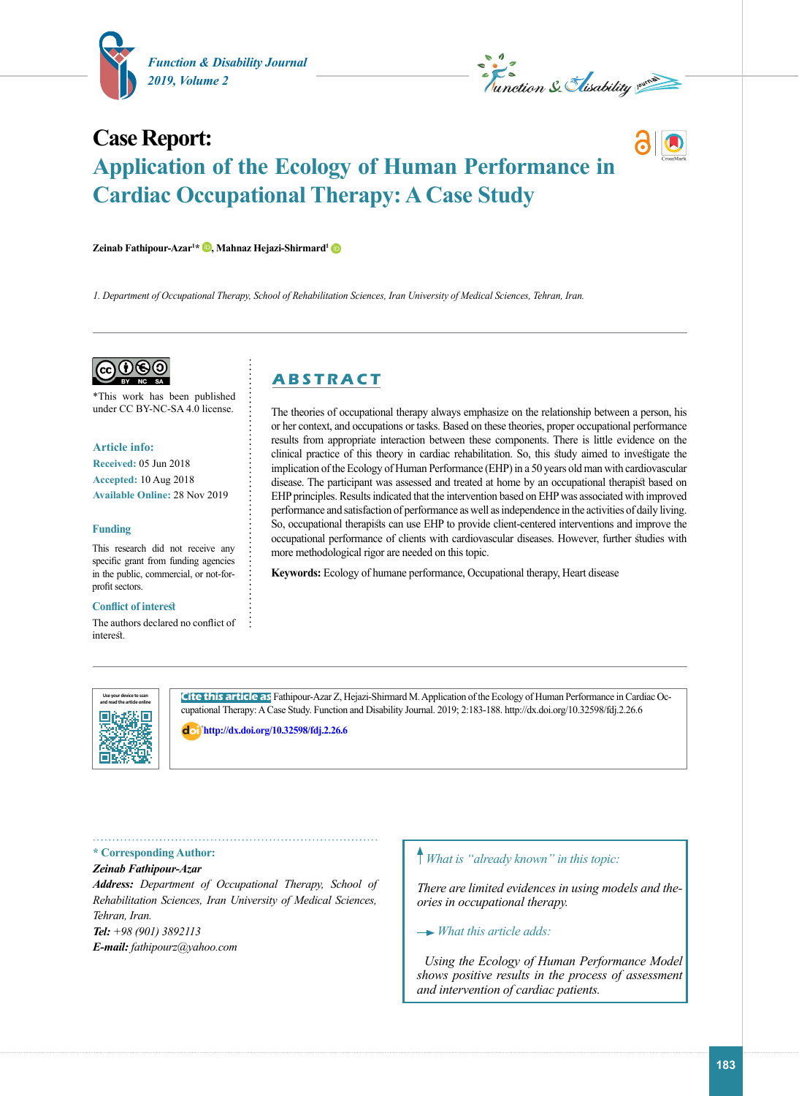

*Level Section Sectional Summer* 

# **Case Report: Application of the Ecology of Human Performance in Cardiac Occupational Therapy: A Case Study**

**Zeinab Fathipour-Azar1 [\\* ,](https://orcid.org/0000-0001-7354-5157) Mahnaz Hejazi-Shirmard[1](https://orcid.org/0000-0002-9732-5498)**

*1. Department of Occupational Therapy, School of Rehabilitation Sciences, Iran University of Medical Sciences, Tehran, Iran.*



\*This work has been published under CC BY-NC-SA 4.0 license.

**Article info: Received:** 05 Jun 2018

**Accepted:** 10 Aug 2018 **Available Online:** 28 Nov 2019

#### **Funding**

This research did not receive any specific grant from funding agencies in the public, commercial, or not-forprofit sectors.

#### **Conflict of interest**

The authors declared no conflict of interest.

# **A B S T R A C T**

The theories of occupational therapy always emphasize on the relationship between a person, his or her context, and occupations or tasks. Based on these theories, proper occupational performance results from appropriate interaction between these components. There is little evidence on the clinical practice of this theory in cardiac rehabilitation. So, this study aimed to investigate the implication of the Ecology of Human Performance (EHP) in a 50 years old man with cardiovascular disease. The participant was assessed and treated at home by an occupational therapist based on EHP principles. Results indicated that the intervention based on EHP was associated with improved performance and satisfaction of performance as well as independence in the activities of daily living. So, occupational therapists can use EHP to provide client-centered interventions and improve the occupational performance of clients with cardiovascular diseases. However, further studies with more methodological rigor are needed on this topic.

**Keywords:** Ecology of humane performance, Occupational therapy, Heart disease



**Cite this article as** Fathipour-Azar Z, Hejazi-Shirmard M. Application of the Ecology of Human Performance in Cardiac Occupational Therapy: A Case Study. Function and Disability Journal. 2019; 2:183-188. http://dx.doi.org/10.32598/fdj.2.26.6

: **<http://dx.doi.org/10.32598/fdj.2.26.6>**

**\* Corresponding Author:**

*Zeinab Fathipour-Azar*

*Address: Department of Occupational Therapy, School of Rehabilitation Sciences, Iran University of Medical Sciences, Tehran, Iran. Tel: +98 (901) 3892113 E-mail: fathipourz@yahoo.com*

# *What is "already known" in this topic:*

*There are limited evidences in using models and theories in occupational therapy.*

 *What this article adds:*

*Using the Ecology of Human Performance Model shows positive results in the process of assessment and intervention of cardiac patients.*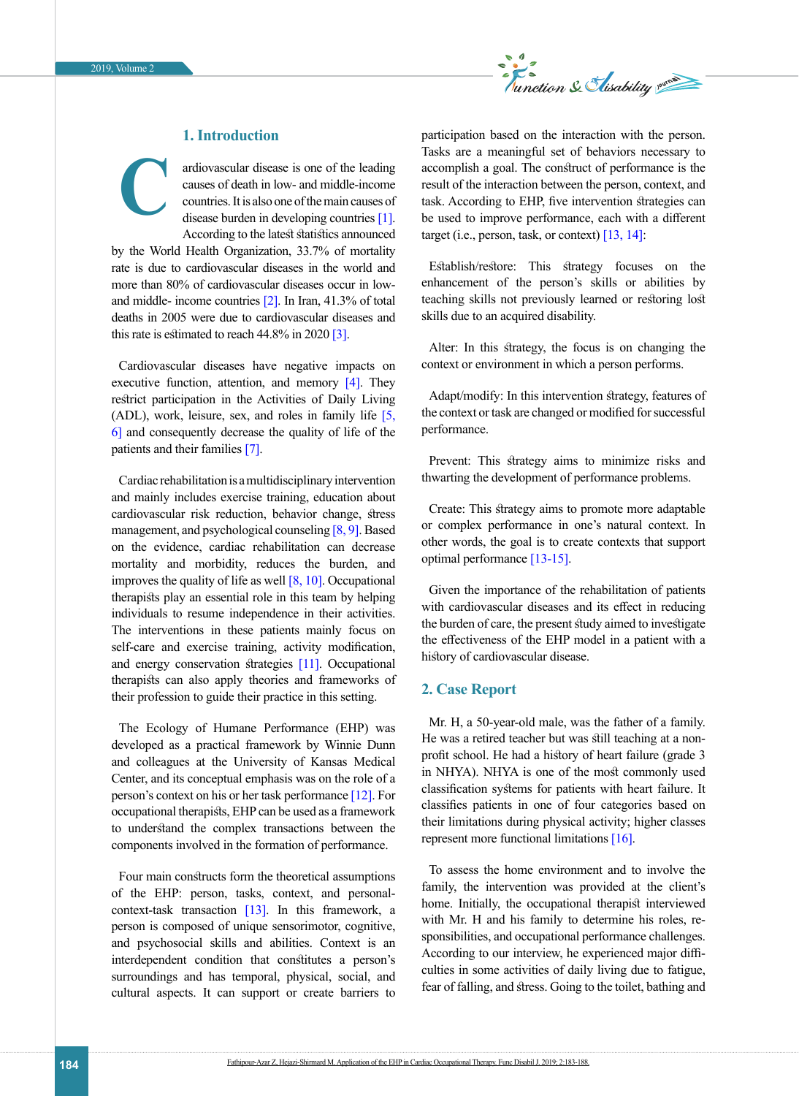

# **1. Introduction**

**C**

ardiovascular disease is one of the leading causes of death in low- and middle-income countries. It is also one of the main causes of disease burden in developing countries [\[1\]](#page-3-0). According to the latest statistics announced

by the World Health Organization, 33.7% of mortality rate is due to cardiovascular diseases in the world and more than 80% of cardiovascular diseases occur in lowand middle- income countries [\[2\].](#page-3-1) In Iran, 41.3% of total deaths in 2005 were due to cardiovascular diseases and this rate is estimated to reach  $44.8\%$  in 2020 [\[3\]](#page-3-2).

Cardiovascular diseases have negative impacts on executive function, attention, and memory  $[4]$ . They restrict participation in the Activities of Daily Living (ADL), work, leisure, sex, and roles in family life [\[5,](#page-3-4) [6\]](#page-4-0) and consequently decrease the quality of life of the patients and their families [\[7\]](#page-4-1).

Cardiac rehabilitation is a multidisciplinary intervention and mainly includes exercise training, education about cardiovascular risk reduction, behavior change, stress management, and psychological counseling [\[8,](#page-4-2) [9\]](#page-4-3). Based on the evidence, cardiac rehabilitation can decrease mortality and morbidity, reduces the burden, and improves the quality of life as well  $[8, 10]$  $[8, 10]$ . Occupational therapists play an essential role in this team by helping individuals to resume independence in their activities. The interventions in these patients mainly focus on self-care and exercise training, activity modification, and energy conservation strategies [\[11\].](#page-4-5) Occupational therapists can also apply theories and frameworks of their profession to guide their practice in this setting.

The Ecology of Humane Performance (EHP) was developed as a practical framework by Winnie Dunn and colleagues at the University of Kansas Medical Center, and its conceptual emphasis was on the role of a person's context on his or her task performance [\[12\]](#page-4-6). For occupational therapists, EHP can be used as a framework to understand the complex transactions between the components involved in the formation of performance.

Four main constructs form the theoretical assumptions of the EHP: person, tasks, context, and personal-context-task transaction [\[13\]](#page-4-7). In this framework, a person is composed of unique sensorimotor, cognitive, and psychosocial skills and abilities. Context is an interdependent condition that constitutes a person's surroundings and has temporal, physical, social, and cultural aspects. It can support or create barriers to participation based on the interaction with the person. Tasks are a meaningful set of behaviors necessary to accomplish a goal. The construct of performance is the result of the interaction between the person, context, and task. According to EHP, five intervention strategies can be used to improve performance, each with a different target (i.e., person, task, or context)  $[13, 14]$  $[13, 14]$ :

Establish/restore: This strategy focuses on the enhancement of the person's skills or abilities by teaching skills not previously learned or restoring lost skills due to an acquired disability.

Alter: In this strategy, the focus is on changing the context or environment in which a person performs.

Adapt/modify: In this intervention strategy, features of the context or task are changed or modified for successful performance.

Prevent: This strategy aims to minimize risks and thwarting the development of performance problems.

Create: This strategy aims to promote more adaptable or complex performance in one's natural context. In other words, the goal is to create contexts that support optimal performance [\[13-15\]](#page-4-7).

Given the importance of the rehabilitation of patients with cardiovascular diseases and its effect in reducing the burden of care, the present study aimed to investigate the effectiveness of the EHP model in a patient with a history of cardiovascular disease.

### **2. Case Report**

Mr. H, a 50-year-old male, was the father of a family. He was a retired teacher but was still teaching at a nonprofit school. He had a history of heart failure (grade 3 in NHYA). NHYA is one of the most commonly used classification systems for patients with heart failure. It classifies patients in one of four categories based on their limitations during physical activity; higher classes represent more functional limitations [\[16\]](#page-4-9).

To assess the home environment and to involve the family, the intervention was provided at the client's home. Initially, the occupational therapist interviewed with Mr. H and his family to determine his roles, responsibilities, and occupational performance challenges. According to our interview, he experienced major difficulties in some activities of daily living due to fatigue, fear of falling, and stress. Going to the toilet, bathing and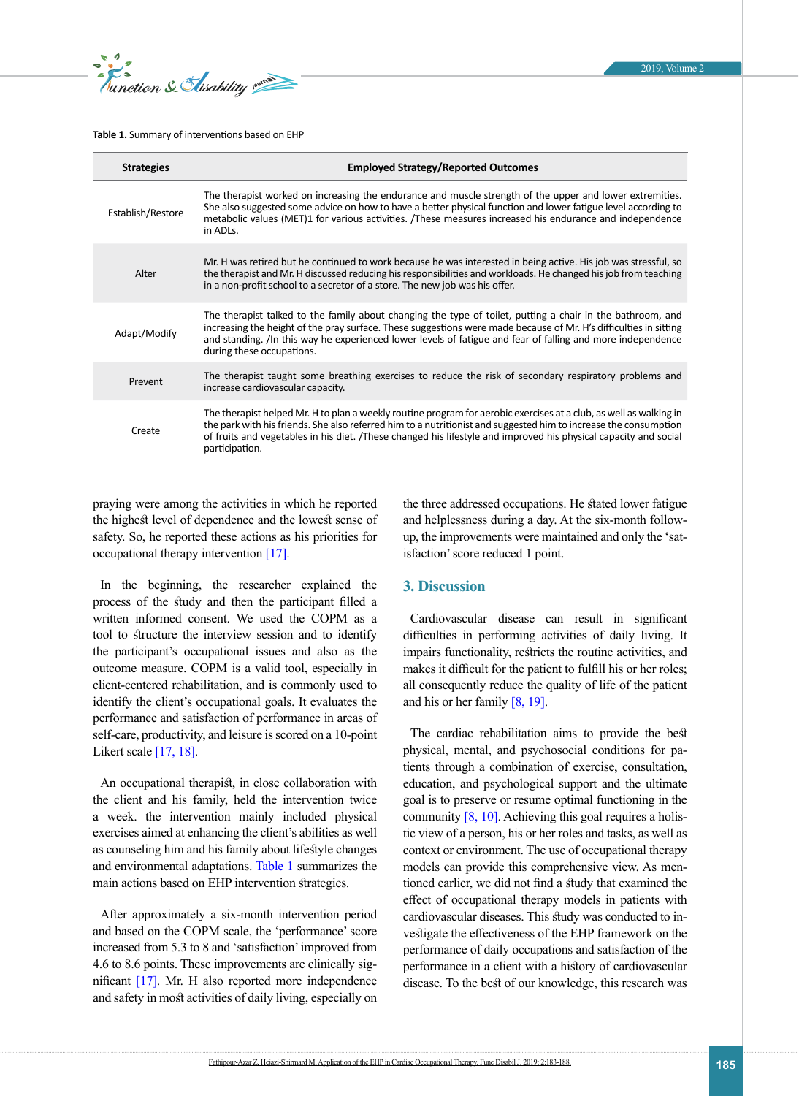*<u>E</u> s S Clisability* 

#### <span id="page-2-0"></span>**Table 1.** Summary of interventions based on EHP

| <b>Strategies</b> | <b>Employed Strategy/Reported Outcomes</b>                                                                                                                                                                                                                                                                                                                                   |
|-------------------|------------------------------------------------------------------------------------------------------------------------------------------------------------------------------------------------------------------------------------------------------------------------------------------------------------------------------------------------------------------------------|
| Establish/Restore | The therapist worked on increasing the endurance and muscle strength of the upper and lower extremities.<br>She also suggested some advice on how to have a better physical function and lower fatigue level according to<br>metabolic values (MET)1 for various activities. /These measures increased his endurance and independence<br>in ADLs.                            |
| Alter             | Mr. H was retired but he continued to work because he was interested in being active. His job was stressful, so<br>the therapist and Mr. H discussed reducing his responsibilities and workloads. He changed his job from teaching<br>in a non-profit school to a secretor of a store. The new job was his offer.                                                            |
| Adapt/Modify      | The therapist talked to the family about changing the type of toilet, putting a chair in the bathroom, and<br>increasing the height of the pray surface. These suggestions were made because of Mr. H's difficulties in sitting<br>and standing. /In this way he experienced lower levels of fatigue and fear of falling and more independence<br>during these occupations.  |
| Prevent           | The therapist taught some breathing exercises to reduce the risk of secondary respiratory problems and<br>increase cardiovascular capacity.                                                                                                                                                                                                                                  |
| Create            | The therapist helped Mr. H to plan a weekly routine program for aerobic exercises at a club, as well as walking in<br>the park with his friends. She also referred him to a nutritionist and suggested him to increase the consumption<br>of fruits and vegetables in his diet. /These changed his lifestyle and improved his physical capacity and social<br>participation. |

praying were among the activities in which he reported the highest level of dependence and the lowest sense of safety. So, he reported these actions as his priorities for occupational therapy intervention [\[17\]](#page-4-10).

In the beginning, the researcher explained the process of the study and then the participant filled a written informed consent. We used the COPM as a tool to structure the interview session and to identify the participant's occupational issues and also as the outcome measure. COPM is a valid tool, especially in client-centered rehabilitation, and is commonly used to identify the client's occupational goals. It evaluates the performance and satisfaction of performance in areas of self-care, productivity, and leisure is scored on a 10-point Likert scale  $[17, 18]$  $[17, 18]$ .

An occupational therapist, in close collaboration with the client and his family, held the intervention twice a week. the intervention mainly included physical exercises aimed at enhancing the client's abilities as well as counseling him and his family about lifestyle changes and environmental adaptations. [Table 1](#page-2-0) summarizes the main actions based on EHP intervention strategies.

After approximately a six-month intervention period and based on the COPM scale, the 'performance' score increased from 5.3 to 8 and 'satisfaction' improved from 4.6 to 8.6 points. These improvements are clinically significant [\[17\].](#page-4-10) Mr. H also reported more independence and safety in most activities of daily living, especially on the three addressed occupations. He stated lower fatigue and helplessness during a day. At the six-month followup, the improvements were maintained and only the 'satisfaction' score reduced 1 point.

#### **3. Discussion**

Cardiovascular disease can result in significant difficulties in performing activities of daily living. It impairs functionality, restricts the routine activities, and makes it difficult for the patient to fulfill his or her roles; all consequently reduce the quality of life of the patient and his or her family [\[8,](#page-4-2) [19\]](#page-4-12).

The cardiac rehabilitation aims to provide the best physical, mental, and psychosocial conditions for patients through a combination of exercise, consultation, education, and psychological support and the ultimate goal is to preserve or resume optimal functioning in the community  $[8, 10]$  $[8, 10]$ . Achieving this goal requires a holistic view of a person, his or her roles and tasks, as well as context or environment. The use of occupational therapy models can provide this comprehensive view. As mentioned earlier, we did not find a study that examined the effect of occupational therapy models in patients with cardiovascular diseases. This study was conducted to investigate the effectiveness of the EHP framework on the performance of daily occupations and satisfaction of the performance in a client with a history of cardiovascular disease. To the best of our knowledge, this research was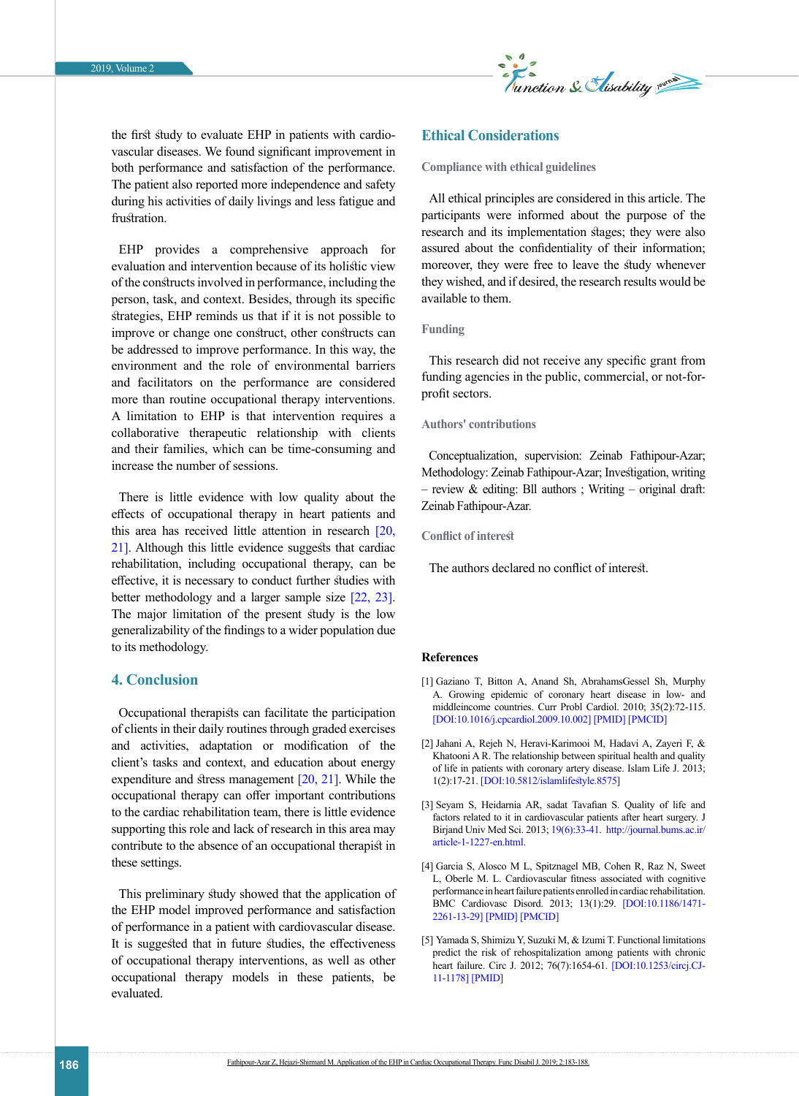

the first study to evaluate EHP in patients with cardiovascular diseases. We found significant improvement in both performance and satisfaction of the performance. The patient also reported more independence and safety during his activities of daily livings and less fatigue and frustration.

EHP provides a comprehensive approach for evaluation and intervention because of its holistic view of the constructs involved in performance, including the person, task, and context. Besides, through its specific strategies, EHP reminds us that if it is not possible to improve or change one construct, other constructs can be addressed to improve performance. In this way, the environment and the role of environmental barriers and facilitators on the performance are considered more than routine occupational therapy interventions. A limitation to EHP is that intervention requires a collaborative therapeutic relationship with clients and their families, which can be time-consuming and increase the number of sessions.

There is little evidence with low quality about the effects of occupational therapy in heart patients and this area has received little attention in research [\[20,](#page-4-13)  [21\].](#page-4-14) Although this little evidence suggests that cardiac rehabilitation, including occupational therapy, can be effective, it is necessary to conduct further studies with better methodology and a larger sample size [\[22,](#page-4-15) [23\]](#page-4-16). The major limitation of the present study is the low generalizability of the findings to a wider population due to its methodology.

# **4. Conclusion**

Occupational therapists can facilitate the participation of clients in their daily routines through graded exercises and activities, adaptation or modification of the client's tasks and context, and education about energy expenditure and stress management  $[20, 21]$  $[20, 21]$ . While the occupational therapy can offer important contributions to the cardiac rehabilitation team, there is little evidence supporting this role and lack of research in this area may contribute to the absence of an occupational therapist in these settings.

This preliminary study showed that the application of the EHP model improved performance and satisfaction of performance in a patient with cardiovascular disease. It is suggested that in future studies, the effectiveness of occupational therapy interventions, as well as other occupational therapy models in these patients, be evaluated.

### **Ethical Considerations**

**Compliance with ethical guidelines**

All ethical principles are considered in this article. The participants were informed about the purpose of the research and its implementation stages; they were also assured about the confidentiality of their information; moreover, they were free to leave the study whenever they wished, and if desired, the research results would be available to them.

#### **Funding**

This research did not receive any specific grant from funding agencies in the public, commercial, or not-forprofit sectors.

#### **Authors' contributions**

Conceptualization, supervision: Zeinab Fathipour-Azar; Methodology: Zeinab Fathipour-Azar; Investigation, writing – review & editing: Bll authors ; Writing – original draft: Zeinab Fathipour-Azar.

**Conflict of interest**

The authors declared no conflict of interest.

#### **References**

- <span id="page-3-0"></span>[1] Gaziano T, Bitton A, Anand Sh, AbrahamsGessel Sh, Murphy A. Growing epidemic of coronary heart disease in low- and middleincome countries. Curr Probl Cardiol. 2010; 35(2):72-115. [[DOI:10.1016/j.cpcardiol.2009.10.002\]](mailto:Amini.m@iums.ac.ir) [[PMID](https://orcid.org/0000-0002-3846-667X)] [\[PMCID\]](https://doi.org/10.1352/1934-9556-52.1.13)
- <span id="page-3-1"></span>[2] Jahani A, Rejeh N, Heravi-Karimooi M, Hadavi A, Zayeri F, & Khatooni A R. The relationship between spiritual health and quality of life in patients with coronary artery disease. Islam Life J. 2013; 1(2):17-21. [\[DOI:10.5812/islamlifestyle.8575\]](https://www.ncbi.nlm.nih.gov/pubmed/24635688)
- <span id="page-3-2"></span>[3] Seyam S, Heidarnia AR, sadat Tavafian S. Quality of life and factors related to it in cardiovascular patients after heart surgery. J Birjand Univ Med Sci. 2013; [19\(6\):33-41](https://doi.org/10.1177/1362361313512902). [http://journal.bums.ac.ir/](https://www.ncbi.nlm.nih.gov/pubmed/24353274) [article-1-1227-en.html.](https://www.ncbi.nlm.nih.gov/pubmed/24353274)
- <span id="page-3-3"></span>[4] Garcia S, Alosco M L, Spitznagel MB, Cohen R, Raz N, Sweet L, Oberle M. L. Cardiovascular fitness associated with cognitive performance in heart failure patients enrolled in cardiac rehabilitation. BMC Cardiovasc Disord. 2013; 13(1):29. [[DOI:10.1186/1471-](http://www.ncbi.nlm.nih.gov/pmc/articles/PMC4908578) [2261-13-29](http://www.ncbi.nlm.nih.gov/pmc/articles/PMC4908578)] [\[PMID\]](https://doi.org/10.1111/j.1365-2788.2011.01391.x) [[PMCID](https://www.ncbi.nlm.nih.gov/pubmed/21366752)]
- <span id="page-3-4"></span>[5] Yamada S, Shimizu Y, Suzuki M, & Izumi T. Functional limitations predict the risk of rehospitalization among patients with chronic heart failure. Circ J. 2012; 76(7):1654-61. [\[DOI:10.1253/circj.CJ-](https://doi.org/10.1111/j.1365-2214.2006.00643.x)[11-1178](https://doi.org/10.1111/j.1365-2214.2006.00643.x)] [\[PMID\]](https://www.ncbi.nlm.nih.gov/pubmed/17291320)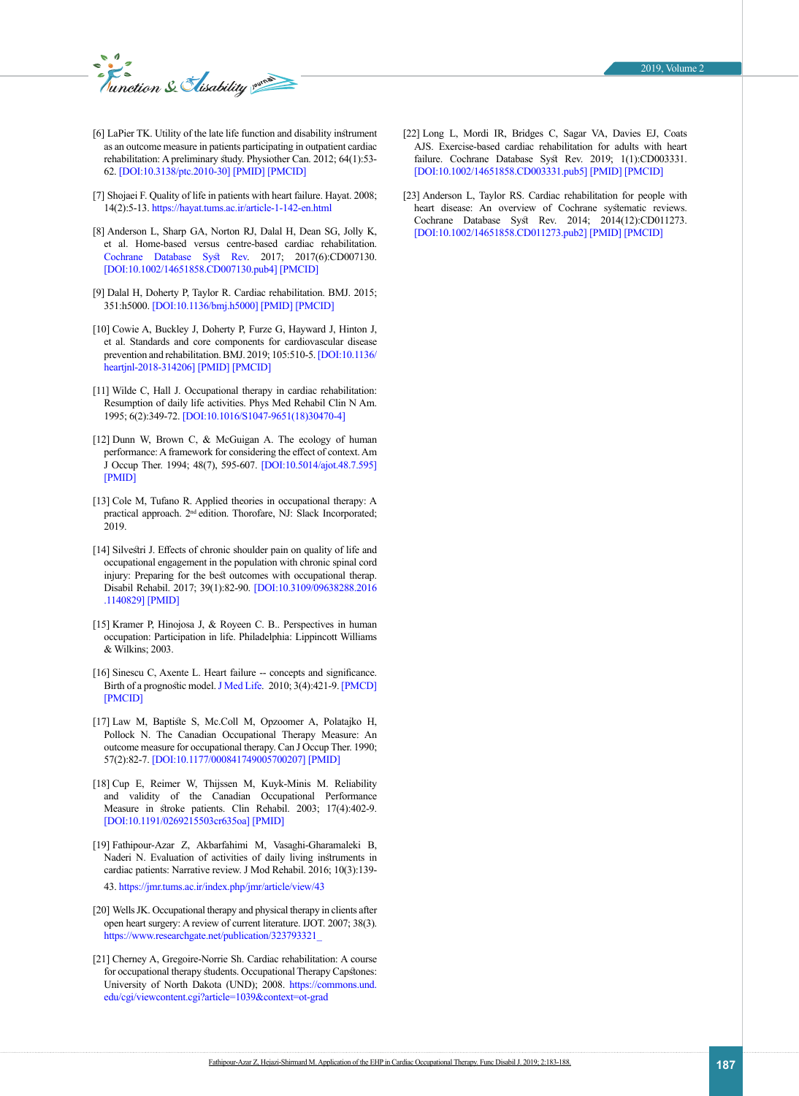

- <span id="page-4-0"></span>[6] LaPier TK. Utility of the late life function and disability instrument as an outcome measure in patients participating in outpatient cardiac rehabilitation: A preliminary study. Physiother Can. 2012; 64(1):53- 62. [\[DOI:10.3138/ptc.2010-30](https://doi.org/10.1016/j.ridd.2012.12.004)] [\[PMID\]](https://www.ncbi.nlm.nih.gov/pubmed/23291505) [[PMCID](https://doi.org/10.1111/dmcn.12246)]
- <span id="page-4-1"></span>[7] Shojaei F. Quality of life in patients with heart failure. Hayat. 2008; 14(2):5-13. [https://hayat.tums.ac.ir/article-1-142-en.html](https://www.ncbi.nlm.nih.gov/pubmed/23962350)
- <span id="page-4-2"></span>[8] Anderson L, Sharp GA, Norton RJ, Dalal H, Dean SG, Jolly K, et al. Home-based versus centre-based cardiac rehabilitation. [Cochrane Database Syst Rev](https://doi.org/10.1016/j.ejpn.2011.10.001). 2017; 2017(6):CD007130. [\[DOI:10.1002/14651858.CD007130.pub4](https://www.ncbi.nlm.nih.gov/pubmed/22036311)] [\[PMCID\]](https://doi.org/10.1111/j.1365-2214.2009.01047.x)
- <span id="page-4-3"></span>[9] Dalal H, Doherty P, Taylor R. Cardiac rehabilitation. BMJ. 2015; 351:h5000. [[DOI:10.1136/bmj.h5000\]](https://www.ncbi.nlm.nih.gov/pubmed/20074250) [[PMID\]](https://doi.org/10.1038/bmt.2016.164) [\[PMCID\]](https://www.ncbi.nlm.nih.gov/pubmed/27295270)
- <span id="page-4-4"></span>[10] Cowie A, Buckley J, Doherty P, Furze G, Hayward J, Hinton J, et al. Standards and core components for cardiovascular disease prevention and rehabilitation. BMJ. 2019; 105:510-5. [\[DOI:10.1136/](http://www.ncbi.nlm.nih.gov/pmc/articles/PMC5564416) [heartjnl-2018-314206](http://www.ncbi.nlm.nih.gov/pmc/articles/PMC5564416)] [\[PMID\]](https://doi.org/10.5812/mejrh.62424) [[PMCID](https://doi.org/10.1186/s13643-016-0219-3)]
- <span id="page-4-5"></span>[11] Wilde C, Hall J. Occupational therapy in cardiac rehabilitation: Resumption of daily life activities. Phys Med Rehabil Clin N Am. 1995; 6(2):349-72. [[DOI:10.1016/S1047-9651\(18\)30470-4](https://doi.org/10.1177/1742395309352254)]
- <span id="page-4-6"></span>[12] Dunn W, Brown C, & McGuigan A. The ecology of human performance: A framework for considering the effect of context. Am J Occup Ther. 1994; 48(7), 595-607. [\[DOI:10.5014/ajot.48.7.595](https://www.ncbi.nlm.nih.gov/pubmed/20308347)] [\[PMID](http://www.ncbi.nlm.nih.gov/pmc/articles/PMC4349200)]
- <span id="page-4-7"></span>[13] Cole M, Tufano R. Applied theories in occupational therapy: A practical approach. 2<sup>nd</sup> edition. Thorofare, NJ: Slack Incorporated; 2019.
- <span id="page-4-8"></span>[14] Silvestri J. Effects of chronic shoulder pain on quality of life and occupational engagement in the population with chronic spinal cord injury: Preparing for the best outcomes with occupational therap. Disabil Rehabil. 2017; 39(1):82-90. [\[DOI:10.3109/09638288.2016](https://doi.org/10.3109/09638281003649920) [.1140829\]](https://doi.org/10.3109/09638281003649920) [\[PMID](https://www.ncbi.nlm.nih.gov/pubmed/20178413)]
- [15] Kramer P, Hinojosa J, & Royeen C. B.. Perspectives in human occupation: Participation in life. Philadelphia: Lippincott Williams & Wilkins; 2003.
- <span id="page-4-9"></span>[16] Sinescu C, Axente L. Heart failure -- concepts and significance. Birth of a prognostic model. [J Med Life.](https://doi.org/10.1080/09638280400000187) 2010; 3(4):421-9. [\[PMCD\]](https://www.ncbi.nlm.nih.gov/pubmed/15742980) [\[PMCID\]](https://doi.org/10.1080/02724936.1998.11747964)
- <span id="page-4-10"></span>[17] Law M, Baptiste S, Mc.Coll M, Opzoomer A, Polatajko H, Pollock N. The Canadian Occupational Therapy Measure: An outcome measure for occupational therapy. Can J Occup Ther. 1990; 57(2):82-7. [\[DOI:10.1177/000841749005700207\]](https://www.ncbi.nlm.nih.gov/pubmed/9924586) [[PMID](https://doi.org/10.1111/j.1469-8749.2011.04014.x)]
- <span id="page-4-11"></span>[18] Cup E, Reimer W, Thijssen M, Kuyk-Minis M. Reliability and validity of the Canadian Occupational Performance Measure in stroke patients. Clin Rehabil. 2003; 17(4):402-9. [\[DOI:10.1191/0269215503cr635oa](https://www.ncbi.nlm.nih.gov/pubmed/21707599)] [\[PMID](https://doi.org/10.1007/s10882-013-9332-6)]
- <span id="page-4-12"></span>[19] Fathipour-Azar Z, Akbarfahimi M, Vasaghi-Gharamaleki B, Naderi N. Evaluation of activities of daily living instruments in cardiac patients: Narrative review. J Mod Rehabil. 2016; 10(3):139- 43. [https://jmr.tums.ac.ir/index.php/jmr/article/view/43](#page-4-2)
- <span id="page-4-13"></span>[20] Wells JK. Occupational therapy and physical therapy in clients after open heart surgery: A review of current literature. IJOT. 2007; 38(3). [https://www.researchgate.net/publication/323793321\\_](https://orcid.org/0000-0002-0507-3837)
- <span id="page-4-14"></span>[21] Cherney A, Gregoire-Norrie Sh. Cardiac rehabilitation: A course for occupational therapy students. Occupational Therapy Capstones: University of North Dakota (UND); 2008. [https://commons.und.](https://doi.org/10.1177/1010539514548756) [edu/cgi/viewcontent.cgi?article=1039&context=ot-grad](https://doi.org/10.1177/1010539514548756)
- <span id="page-4-15"></span>[22] Long L, Mordi IR, Bridges C, Sagar VA, Davies EJ, Coats AJS. Exercise-based cardiac rehabilitation for adults with heart failure. Cochrane Database Syst Rev. 2019; 1(1):CD003331. [[DOI:10.1002/14651858.CD003331.pub5\]](https://www.ncbi.nlm.nih.gov/pubmed/25204802) [[PMID](https://doi.org/10.1186/s12887-014-0301-8)] [\[PMCID\]](https://www.ncbi.nlm.nih.gov/pubmed/25476072)
- <span id="page-4-16"></span>[23] Anderson L, Taylor RS. Cardiac rehabilitation for people with heart disease: An overview of Cochrane systematic reviews. Cochrane Database Syst Rev. 2014; 2014(12):CD011273. [[DOI:10.1002/14651858.CD011273.pub2\]](http://www.ncbi.nlm.nih.gov/pmc/articles/PMC4265462) [\[PMID\]](https://doi.org/10.4038/cmj.v58i4.5617) [\[PMCID\]](https://www.ncbi.nlm.nih.gov/pubmed/24385058)